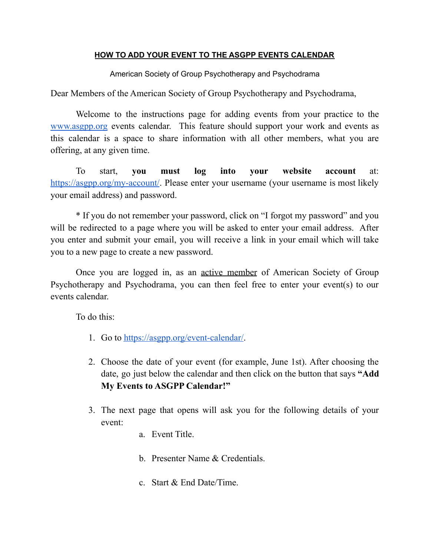## **HOW TO ADD YOUR EVENT TO THE ASGPP EVENTS CALENDAR**

American Society of Group Psychotherapy and Psychodrama

Dear Members of the American Society of Group Psychotherapy and Psychodrama,

Welcome to the instructions page for adding events from your practice to the [www.asgpp.org](http://www.asgpp.org) events calendar. This feature should support your work and events as this calendar is a space to share information with all other members, what you are offering, at any given time.

To start, **you must log into your website account** at: <https://asgpp.org/my-account/>. Please enter your username (your username is most likely your email address) and password.

\* If you do not remember your password, click on "I forgot my password" and you will be redirected to a page where you will be asked to enter your email address. After you enter and submit your email, you will receive a link in your email which will take you to a new page to create a new password.

Once you are logged in, as an active member of American Society of Group Psychotherapy and Psychodrama, you can then feel free to enter your event(s) to our events calendar.

To do this:

- 1. Go to [https://asgpp.org/event-calendar/.](https://asgpp.org/event-calendar/)
- 2. Choose the date of your event (for example, June 1st). After choosing the date, go just below the calendar and then click on the button that says **"Add My Events to ASGPP Calendar!"**
- 3. The next page that opens will ask you for the following details of your event:
	- a. Event Title.
	- b. Presenter Name & Credentials.
	- c. Start & End Date/Time.